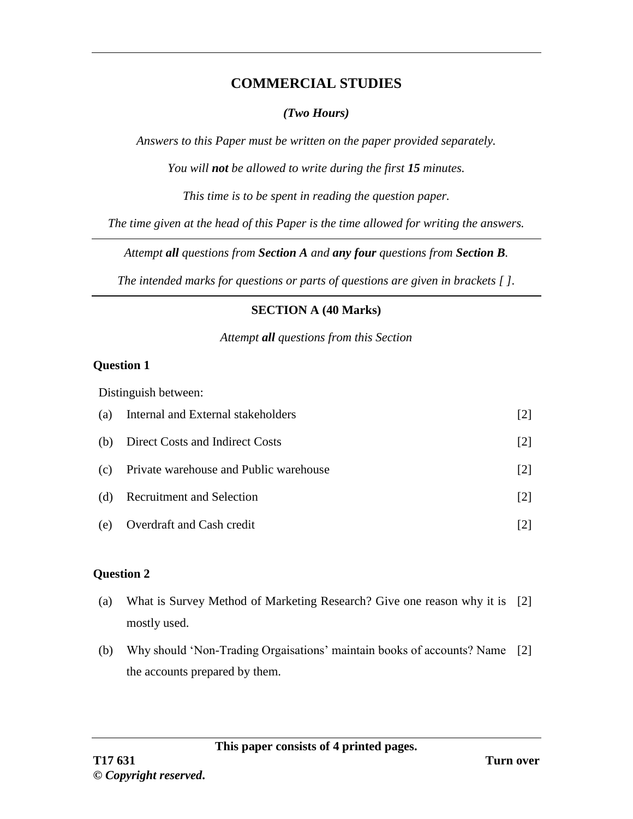## **COMMERCIAL STUDIES**

### *(Two Hours)*

*Answers to this Paper must be written on the paper provided separately.*

*You will not be allowed to write during the first 15 minutes.*

*This time is to be spent in reading the question paper.*

*The time given at the head of this Paper is the time allowed for writing the answers.*

*Attempt all questions from Section A and any four questions from Section B.*

*The intended marks for questions or parts of questions are given in brackets [ ].*

### **SECTION A (40 Marks)**

*Attempt all questions from this Section*

### **Question 1**

Distinguish between:

| (a) | Internal and External stakeholders     | [2]               |
|-----|----------------------------------------|-------------------|
| (b) | Direct Costs and Indirect Costs        | $\lceil 2 \rceil$ |
| (c) | Private warehouse and Public warehouse | $\lceil 2 \rceil$ |
| (d) | <b>Recruitment and Selection</b>       | $\lceil 2 \rceil$ |
| (e) | Overdraft and Cash credit              |                   |

### **Question 2**

- (a) What is Survey Method of Marketing Research? Give one reason why it is [2] mostly used.
- (b) Why should 'Non-Trading Orgaisations' maintain books of accounts? Name [2]the accounts prepared by them.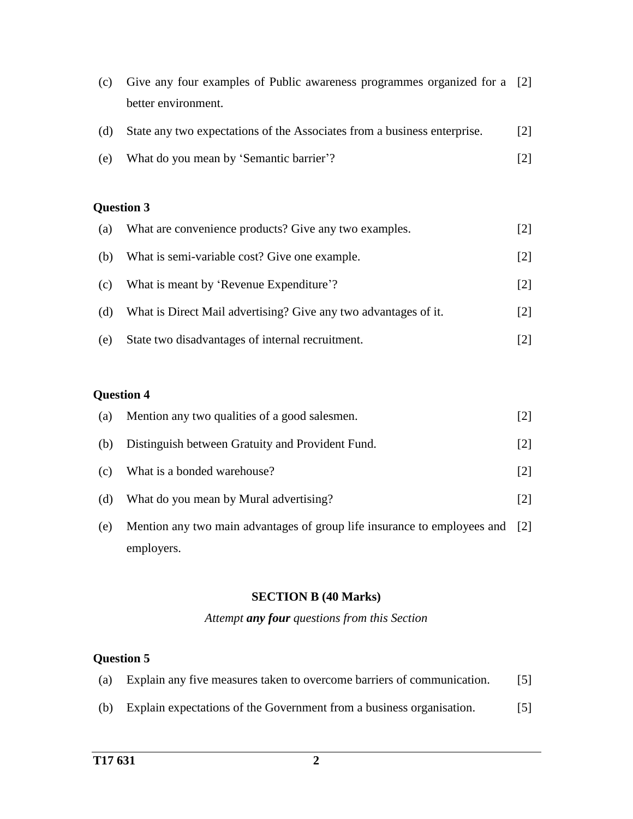| (c) | Give any four examples of Public awareness programmes organized for a [2] |                   |
|-----|---------------------------------------------------------------------------|-------------------|
|     | better environment.                                                       |                   |
| (d) | State any two expectations of the Associates from a business enterprise.  | $\lceil 2 \rceil$ |
| (e) | What do you mean by 'Semantic barrier'?                                   |                   |

# **Question 3**

| (a) | What are convenience products? Give any two examples.           | $\lceil 2 \rceil$ |
|-----|-----------------------------------------------------------------|-------------------|
| (b) | What is semi-variable cost? Give one example.                   | $\lceil 2 \rceil$ |
| (c) | What is meant by 'Revenue Expenditure'?                         | $\lceil 2 \rceil$ |
| (d) | What is Direct Mail advertising? Give any two advantages of it. | $\lceil 2 \rceil$ |
| (e) | State two disadvantages of internal recruitment.                | $\lceil 2 \rceil$ |

# **Question 4**

| (a) | Mention any two qualities of a good salesmen.                                | $[2]$             |
|-----|------------------------------------------------------------------------------|-------------------|
| (b) | Distinguish between Gratuity and Provident Fund.                             | $\lceil 2 \rceil$ |
| (c) | What is a bonded warehouse?                                                  | $\lceil 2 \rceil$ |
| (d) | What do you mean by Mural advertising?                                       | $\lceil 2 \rceil$ |
| (e) | Mention any two main advantages of group life insurance to employees and [2] |                   |
|     | employers.                                                                   |                   |

#### **SECTION B (40 Marks)**

*Attempt any four questions from this Section*

# **Question 5**

|  |  |  |  | (a) Explain any five measures taken to overcome barriers of communication. | $\left[5\right]$ |
|--|--|--|--|----------------------------------------------------------------------------|------------------|
|--|--|--|--|----------------------------------------------------------------------------|------------------|

(b) Explain expectations of the Government from a business organisation. [5]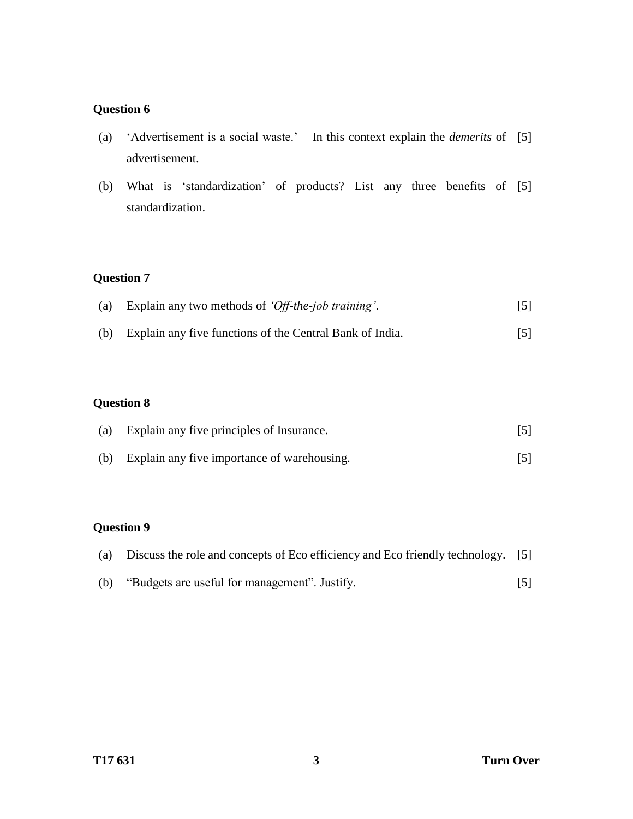#### **Question 6**

- (a) 'Advertisement is a social waste.' In this context explain the *demerits* of [5] advertisement.
- (b) What is 'standardization' of products? List any three benefits of [5] standardization.

## **Question 7**

| (a) Explain any two methods of 'Off-the-job training'. |  |
|--------------------------------------------------------|--|
|                                                        |  |

(b) Explain any five functions of the Central Bank of India. [5]

### **Question 8**

| (a) | Explain any five principles of Insurance.   |  |
|-----|---------------------------------------------|--|
| (b) | Explain any five importance of warehousing. |  |

## **Question 9**

|     | (a) Discuss the role and concepts of Eco efficiency and Eco friendly technology. [5] |                   |
|-----|--------------------------------------------------------------------------------------|-------------------|
| (b) | "Budgets are useful for management". Justify.                                        | $\lceil 5 \rceil$ |